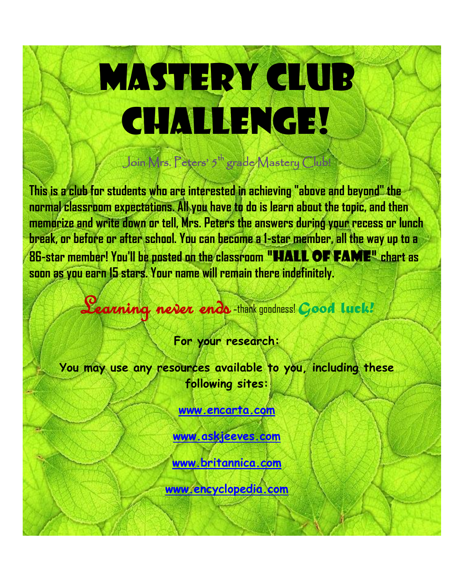## **MASTERY CLUB** CHALLENGE!

Join Mrs. Peters'  $\mathfrak{h}^{\mathsf{th}}$  grade Mastery Club!

**This is a club for students who are interested in achieving "above and beyond" the normal classroom expectations. All you have to do is learn about the topic, and then memorize and write down or tell, Mrs. Peters the answers during your recess or lunch break, or before or after school. You can become a 1-star member, all the way up to a 86-star member! You'll be posted on the classroom** "Hall of Fame" **chart as soon as you earn 15 stars. Your name will remain there indefinitely.** 

Learning never ends -thank goodness! *Good luck!*

**For your research:**

**You may use any resources available to you, including these following sites:**

**[www.encarta.com](http://www.encarta.com/)**

**[www.askjeeves.com](http://www.askjeeves.com/)**

**[www.britannica.com](http://www.britannica.com/)**

**[www.encyclopedia.com](http://www.encyclopedia.com/)**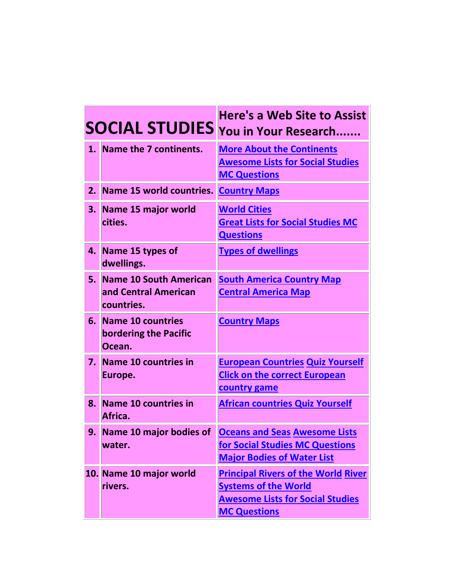|    |                                                              | <b>Here's a Web Site to Assist</b><br><b>SOCIAL STUDIES</b> You in Your Research                                                            |
|----|--------------------------------------------------------------|---------------------------------------------------------------------------------------------------------------------------------------------|
|    | 1. Name the 7 continents.                                    | <b>More About the Continents</b><br><b>Awesome Lists for Social Studies</b><br><b>MC Questions</b>                                          |
| 2. | Name 15 world countries.                                     | <b>Country Maps</b>                                                                                                                         |
| 3. | Name 15 major world<br>cities.                               | <b>World Cities</b><br><b>Great Lists for Social Studies MC</b><br><b>Questions</b>                                                         |
| 4. | Name 15 types of<br>dwellings.                               | <b>Types of dwellings</b>                                                                                                                   |
| 5. | Name 10 South American<br>and Central American<br>countries. | <b>South America Country Map</b><br><b>Central America Map</b>                                                                              |
| 6. | <b>Name 10 countries</b><br>bordering the Pacific<br>Ocean.  | <b>Country Maps</b>                                                                                                                         |
| 7. | Name 10 countries in<br>Europe.                              | <b>European Countries Quiz Yourself</b><br><b>Click on the correct European</b><br><b>country game</b>                                      |
| 8. | <b>Name 10 countries in</b><br>Africa.                       | <b>African countries Quiz Yourself</b>                                                                                                      |
| 9. | Name 10 major bodies of<br>water.                            | <b>Oceans and Seas Awesome Lists</b><br>for Social Studies MC Questions<br><b>Major Bodies of Water List</b>                                |
|    | 10. Name 10 major world<br>rivers.                           | <b>Principal Rivers of the World River</b><br><b>Systems of the World</b><br><b>Awesome Lists for Social Studies</b><br><b>MC Questions</b> |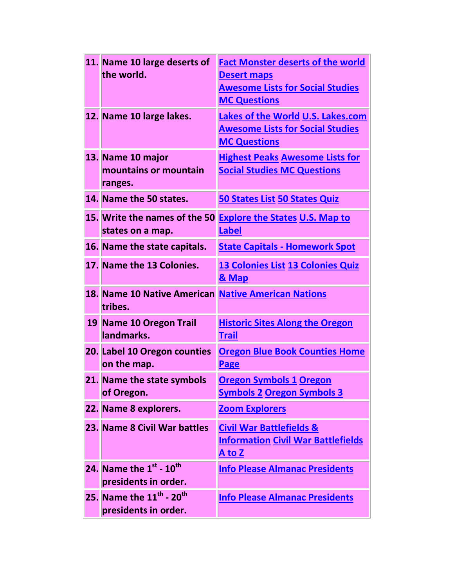| 11. Name 10 large deserts of                        | <b>Fact Monster deserts of the world</b>  |
|-----------------------------------------------------|-------------------------------------------|
| the world.                                          | <b>Desert maps</b>                        |
|                                                     | <b>Awesome Lists for Social Studies</b>   |
|                                                     | <b>MC Questions</b>                       |
| 12. Name 10 large lakes.                            | <b>Lakes of the World U.S. Lakes.com</b>  |
|                                                     | <b>Awesome Lists for Social Studies</b>   |
|                                                     | <b>MC Questions</b>                       |
| 13. Name 10 major                                   | <b>Highest Peaks Awesome Lists for</b>    |
| mountains or mountain                               | <b>Social Studies MC Questions</b>        |
| ranges.                                             |                                           |
| 14. Name the 50 states.                             | <b>50 States List 50 States Quiz</b>      |
| 15. Write the names of the 50                       | <b>Explore the States U.S. Map to</b>     |
| states on a map.                                    | <b>Label</b>                              |
| 16. Name the state capitals.                        | <b>State Capitals - Homework Spot</b>     |
| 17. Name the 13 Colonies.                           | 13 Colonies List 13 Colonies Quiz         |
|                                                     | & Map                                     |
| 18. Name 10 Native American Native American Nations |                                           |
| tribes.                                             |                                           |
|                                                     |                                           |
| 19 Name 10 Oregon Trail                             | <b>Historic Sites Along the Oregon</b>    |
| landmarks.                                          | <b>Trail</b>                              |
| 20. Label 10 Oregon counties                        | <b>Oregon Blue Book Counties Home</b>     |
| on the map.                                         | <b>Page</b>                               |
| 21. Name the state symbols                          | <u>Oregon Symbols 1 Oregon</u>            |
| of Oregon.                                          | <u>Symbols 2 Oregon Symbols 3</u>         |
| 22. Name 8 explorers.                               | <b>Zoom Explorers</b>                     |
| 23. Name 8 Civil War battles                        | <b>Civil War Battlefields &amp;</b>       |
|                                                     | <b>Information Civil War Battlefields</b> |
|                                                     | <u>A to Z</u>                             |
| 24. Name the $1^{st}$ - $10^{th}$                   | <b>Info Please Almanac Presidents</b>     |
| presidents in order.                                |                                           |
| 25. Name the $11^{\text{th}}$ - $20^{\text{th}}$    | <b>Info Please Almanac Presidents</b>     |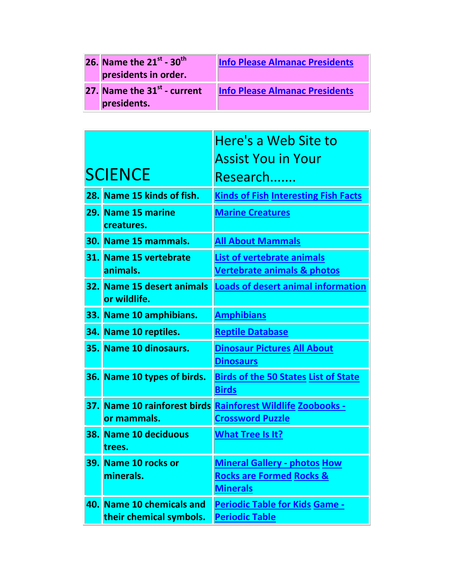| <b>26.</b> Name the $21^{st}$ - $30^{th}$<br>presidents in order. | <b>Info Please Almanac Presidents</b> |
|-------------------------------------------------------------------|---------------------------------------|
| 27. Name the 31 <sup>st</sup> - current<br>presidents.            | <b>Info Please Almanac Presidents</b> |

|    |                                                      | Here's a Web Site to                                                                          |
|----|------------------------------------------------------|-----------------------------------------------------------------------------------------------|
|    |                                                      | Assist You in Your                                                                            |
|    | <b>SCIENCE</b>                                       | Research                                                                                      |
|    | 28. Name 15 kinds of fish.                           | <b>Kinds of Fish Interesting Fish Facts</b>                                                   |
|    | 29. Name 15 marine<br>creatures.                     | <b>Marine Creatures</b>                                                                       |
|    | 30. Name 15 mammals.                                 | <u>All About Mammals</u>                                                                      |
|    | 31. Name 15 vertebrate<br>animals.                   | <b>List of vertebrate animals</b><br><b>Vertebrate animals &amp; photos</b>                   |
|    | 32. Name 15 desert animals<br>or wildlife.           | <b>Loads of desert animal information</b>                                                     |
|    | 33. Name 10 amphibians.                              | <b>Amphibians</b>                                                                             |
|    | 34. Name 10 reptiles.                                | <b>Reptile Database</b>                                                                       |
|    | 35. Name 10 dinosaurs.                               | <b>Dinosaur Pictures All About</b><br><b>Dinosaurs</b>                                        |
|    | 36. Name 10 types of birds.                          | <b>Birds of the 50 States List of State</b><br><b>Birds</b>                                   |
|    | 37. Name 10 rainforest birds<br>or mammals.          | <b>Rainforest Wildlife Zoobooks -</b><br><b>Crossword Puzzle</b>                              |
|    | 38. Name 10 deciduous<br>trees.                      | <b>What Tree Is It?</b>                                                                       |
| 39 | Name 10 rocks or<br>minerals.                        | <b>Mineral Gallery - photos How</b><br><b>Rocks are Formed Rocks &amp;</b><br><b>Minerals</b> |
|    | 40. Name 10 chemicals and<br>their chemical symbols. | <b>Periodic Table for Kids Game -</b><br><b>Periodic Table</b>                                |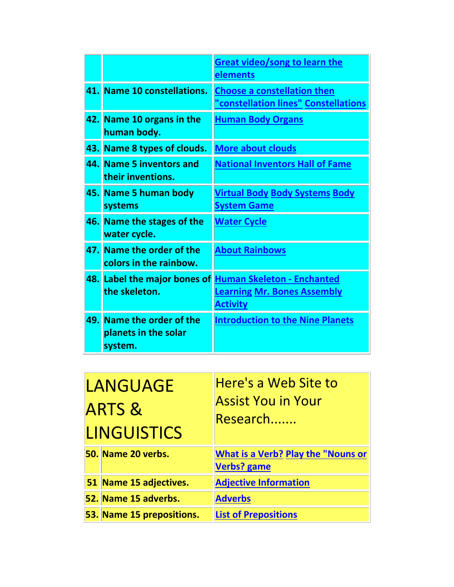|     |                                                          | <b>Great video/song to learn the</b><br><u>elements</u>                                                          |
|-----|----------------------------------------------------------|------------------------------------------------------------------------------------------------------------------|
|     | 41. Name 10 constellations.                              | <b>Choose a constellation then</b><br>"constellation lines" Constellations                                       |
|     | 42. Name 10 organs in the<br>human body.                 | <b>Human Body Organs</b>                                                                                         |
| 43. | Name 8 types of clouds.                                  | <b>More about clouds</b>                                                                                         |
|     | 44. Name 5 inventors and<br>their inventions.            | <b>National Inventors Hall of Fame</b>                                                                           |
|     | 45. Name 5 human body<br>systems                         | <u>Virtual Body Body Systems Body</u><br><b>System Game</b>                                                      |
|     | 46. Name the stages of the<br>water cycle.               | <b>Water Cycle</b>                                                                                               |
|     | 47. Name the order of the<br>colors in the rainbow.      | <b>About Rainbows</b>                                                                                            |
|     | the skeleton.                                            | 48. Label the major bones of Human Skeleton - Enchanted<br><b>Learning Mr. Bones Assembly</b><br><b>Activity</b> |
| 49. | Name the order of the<br>planets in the solar<br>system. | <b>Introduction to the Nine Planets</b>                                                                          |

| LANGUAGE<br><b>ARTS &amp;</b><br><b>LINGUISTICS</b> | Here's a Web Site to<br><b>Assist You in Your</b><br>Research   |
|-----------------------------------------------------|-----------------------------------------------------------------|
| 50. Name 20 verbs.                                  | <b>What is a Verb? Play the "Nouns or</b><br><b>Verbs? game</b> |
| 51 Name 15 adjectives.                              | <b>Adjective Information</b>                                    |
| 52. Name 15 adverbs.                                | <b>Adverbs</b>                                                  |
| 53. Name 15 prepositions.                           | <b>List of Prepositions</b>                                     |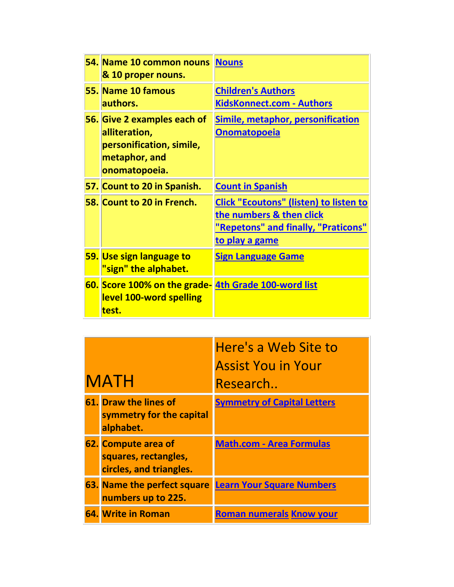| 54. Name 10 common nouns Nouns<br>& 10 proper nouns.                                                       |                                                                                                                                           |
|------------------------------------------------------------------------------------------------------------|-------------------------------------------------------------------------------------------------------------------------------------------|
| 55. Name 10 famous<br>authors.                                                                             | <b>Children's Authors</b><br>KidsKonnect.com - Authors                                                                                    |
| 56. Give 2 examples each of<br>alliteration,<br>personification, simile,<br>metaphor, and<br>onomatopoeia. | <b>Simile, metaphor, personification</b><br><b>Onomatopoeia</b>                                                                           |
| 57. Count to 20 in Spanish.                                                                                | <b>Count in Spanish</b>                                                                                                                   |
| 58. Count to 20 in French.                                                                                 | <b>Click "Ecoutons" (listen) to listen to</b><br>the numbers & then click<br>"Repetons" and finally, "Praticons"<br><u>to play a game</u> |
| 59. Use sign language to<br>"sign" the alphabet.                                                           | <b>Sign Language Game</b>                                                                                                                 |
| 60. Score 100% on the grade- 4th Grade 100-word list<br>level 100-word spelling<br>test.                   |                                                                                                                                           |

| <b>MATH</b> |                                                                        | Here's a Web Site to<br><b>Assist You in Your</b><br>Research |
|-------------|------------------------------------------------------------------------|---------------------------------------------------------------|
|             | 61. Draw the lines of<br>symmetry for the capital<br>alphabet.         | <b>Symmetry of Capital Letters</b>                            |
|             | 62. Compute area of<br>squares, rectangles,<br>circles, and triangles. | <b>Math.com - Area Formulas</b>                               |
|             | <b>63. Name the perfect square</b><br>numbers up to 225.               | <b>Learn Your Square Numbers</b>                              |
|             | 64. Write in Roman                                                     | <b>Roman numerals Know your</b>                               |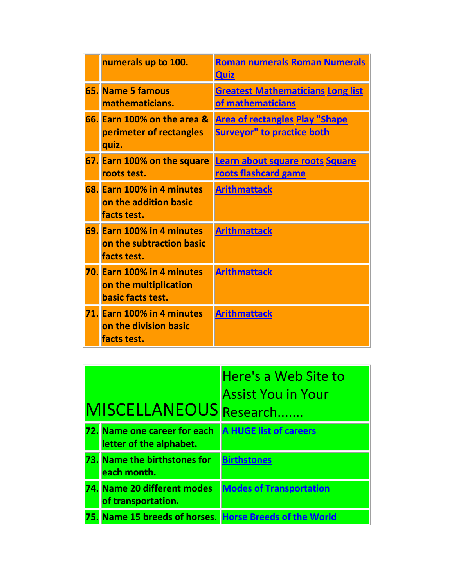| numerals up to 100.                                                      | <b>Roman numerals Roman Numerals</b><br><b>Quiz</b>                        |
|--------------------------------------------------------------------------|----------------------------------------------------------------------------|
| 65. Name 5 famous<br>mathematicians.                                     | <b>Greatest Mathematicians Long list</b><br>of mathematicians              |
| 66. Earn 100% on the area &<br>perimeter of rectangles<br>quiz.          | <b>Area of rectangles Play "Shape</b><br><b>Surveyor" to practice both</b> |
| 67. Earn 100% on the square<br>roots test.                               | Learn about square roots Square<br>roots flashcard game                    |
| 68. Earn 100% in 4 minutes<br>on the addition basic<br>facts test.       | <b>Arithmattack</b>                                                        |
| 69. Earn 100% in 4 minutes<br>on the subtraction basic<br>facts test.    | <b>Arithmattack</b>                                                        |
| 70. Earn 100% in 4 minutes<br>on the multiplication<br>basic facts test. | <b>Arithmattack</b>                                                        |
| 71. Earn 100% in 4 minutes<br>on the division basic<br>facts test.       | <b>Arithmattack</b>                                                        |

|                                                         | Here's a Web Site to           |
|---------------------------------------------------------|--------------------------------|
|                                                         | <b>Assist You in Your</b>      |
| MISCELLANEOUS Research                                  |                                |
| 72. Name one career for each<br>letter of the alphabet. | <b>A HUGE list of careers</b>  |
| 73. Name the birthstones for<br>each month.             | <b>Birthstones</b>             |
| 74. Name 20 different modes<br>of transportation.       | <b>Modes of Transportation</b> |
| 75. Name 15 breeds of horses. Horse Breeds of the World |                                |